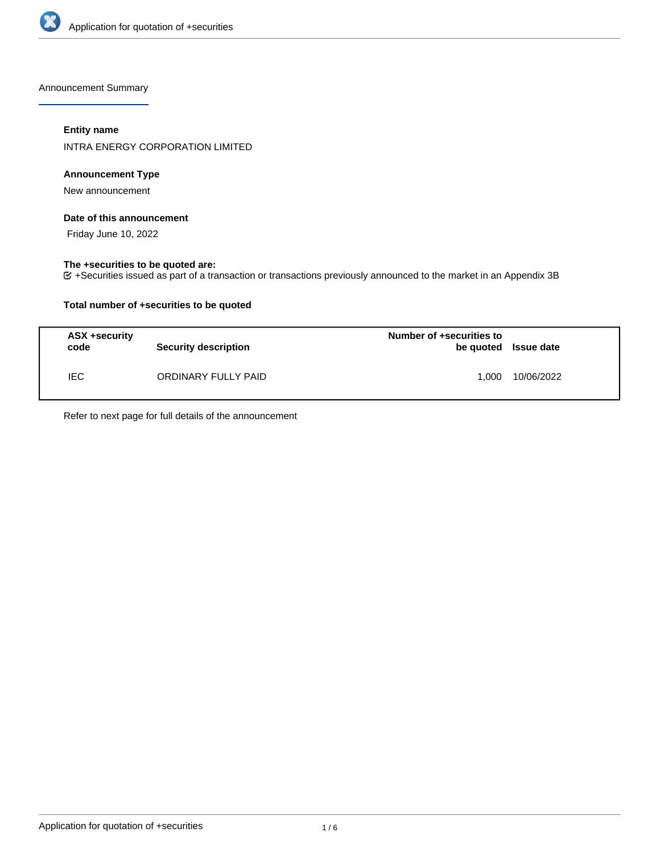

Announcement Summary

## **Entity name**

INTRA ENERGY CORPORATION LIMITED

## **Announcement Type**

New announcement

### **Date of this announcement**

Friday June 10, 2022

## **The +securities to be quoted are:**

+Securities issued as part of a transaction or transactions previously announced to the market in an Appendix 3B

## **Total number of +securities to be quoted**

| ASX +security<br>code | <b>Security description</b> | Number of +securities to<br>be quoted Issue date |            |
|-----------------------|-----------------------------|--------------------------------------------------|------------|
| IEC.                  | ORDINARY FULLY PAID         | 1.000                                            | 10/06/2022 |

Refer to next page for full details of the announcement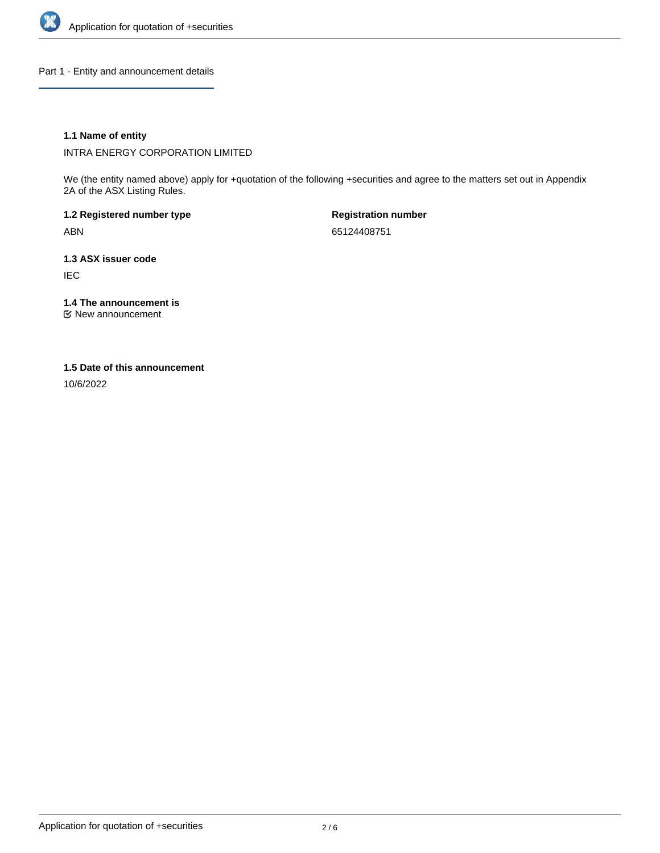

Part 1 - Entity and announcement details

## **1.1 Name of entity**

INTRA ENERGY CORPORATION LIMITED

We (the entity named above) apply for +quotation of the following +securities and agree to the matters set out in Appendix 2A of the ASX Listing Rules.

**1.2 Registered number type** ABN

**Registration number** 65124408751

**1.3 ASX issuer code** IEC

**1.4 The announcement is**

New announcement

### **1.5 Date of this announcement**

10/6/2022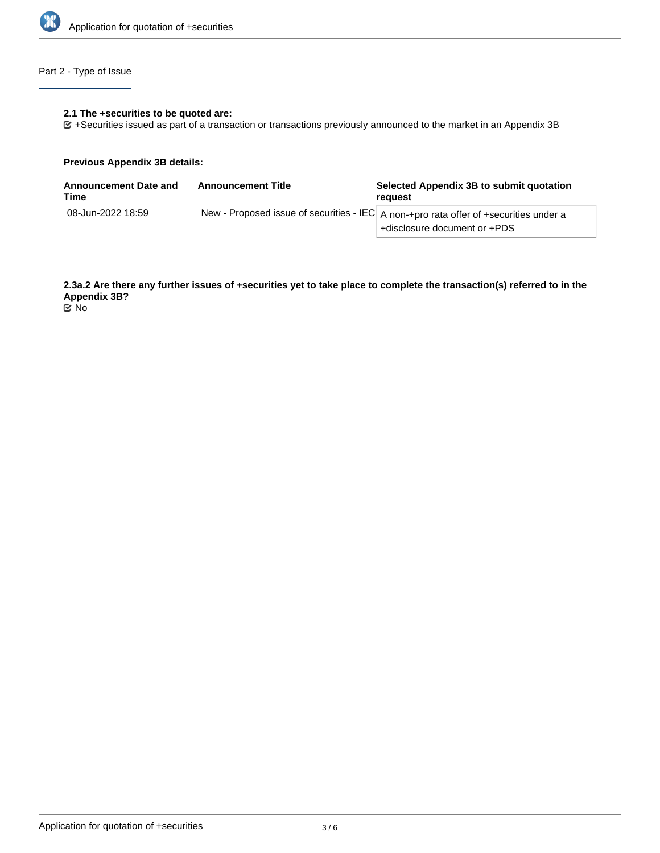

## Part 2 - Type of Issue

#### **2.1 The +securities to be quoted are:**

+Securities issued as part of a transaction or transactions previously announced to the market in an Appendix 3B

### **Previous Appendix 3B details:**

| <b>Announcement Date and</b><br>Time | <b>Announcement Title</b> | Selected Appendix 3B to submit quotation<br>reauest                                                                   |
|--------------------------------------|---------------------------|-----------------------------------------------------------------------------------------------------------------------|
| 08-Jun-2022 18:59                    |                           | New - Proposed issue of securities - IEC A non-+pro rata offer of +securities under a<br>+disclosure document or +PDS |

**2.3a.2 Are there any further issues of +securities yet to take place to complete the transaction(s) referred to in the Appendix 3B?**

No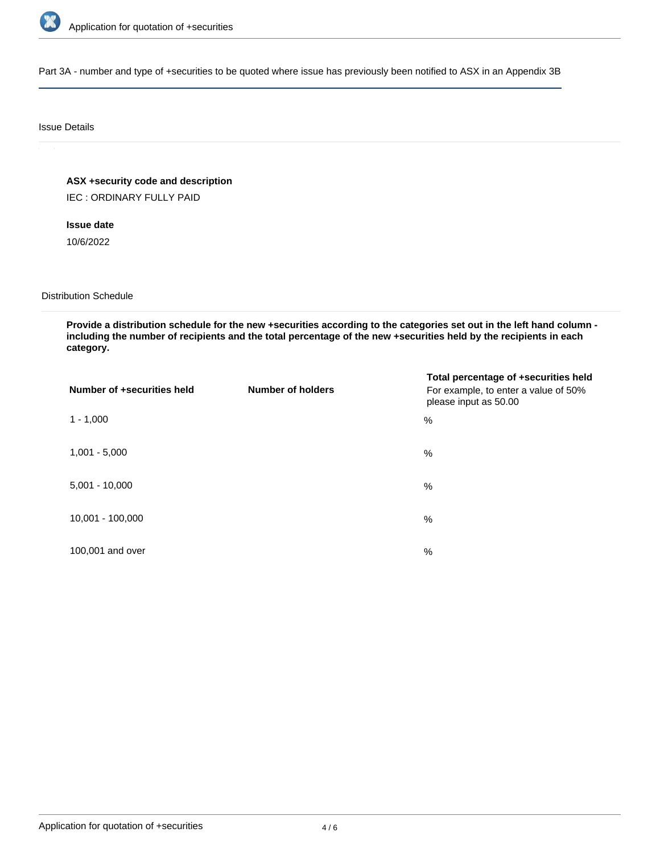

Part 3A - number and type of +securities to be quoted where issue has previously been notified to ASX in an Appendix 3B

### Issue Details

**ASX +security code and description**

IEC : ORDINARY FULLY PAID

# **Issue date**

10/6/2022

### Distribution Schedule

**Provide a distribution schedule for the new +securities according to the categories set out in the left hand column including the number of recipients and the total percentage of the new +securities held by the recipients in each category.**

| Number of +securities held | <b>Number of holders</b> | Total percentage of +securities held<br>For example, to enter a value of 50%<br>please input as 50.00 |
|----------------------------|--------------------------|-------------------------------------------------------------------------------------------------------|
| $1 - 1,000$                |                          | $\%$                                                                                                  |
| $1,001 - 5,000$            |                          | $\%$                                                                                                  |
| $5,001 - 10,000$           |                          | $\%$                                                                                                  |
| 10,001 - 100,000           |                          | $\%$                                                                                                  |
| 100,001 and over           |                          | $\%$                                                                                                  |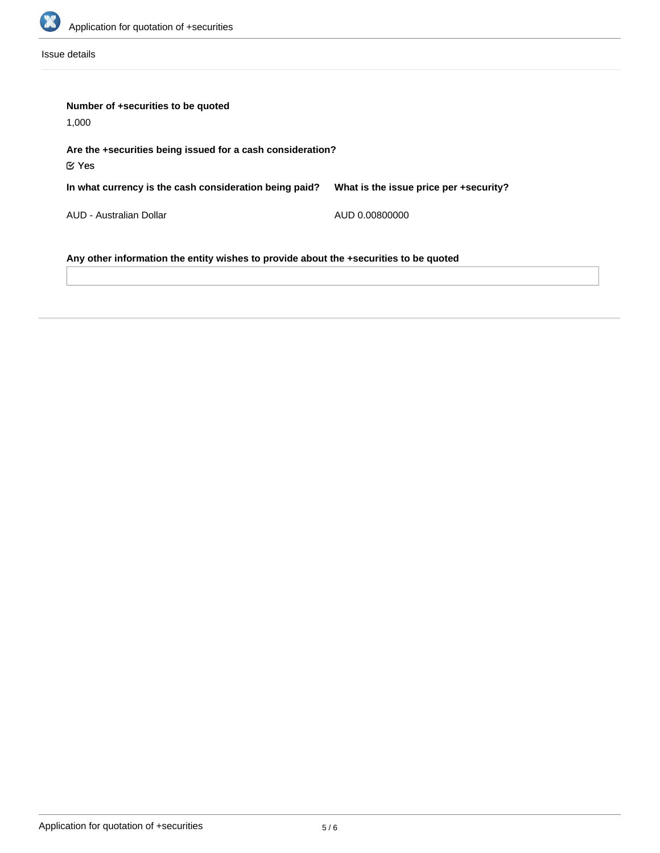

Issue details

| Number of +securities to be quoted                                                    |                                        |  |  |  |  |
|---------------------------------------------------------------------------------------|----------------------------------------|--|--|--|--|
| 1,000                                                                                 |                                        |  |  |  |  |
| Are the +securities being issued for a cash consideration?<br>$\mathfrak C$ Yes       |                                        |  |  |  |  |
| In what currency is the cash consideration being paid?                                | What is the issue price per +security? |  |  |  |  |
| AUD - Australian Dollar                                                               | AUD 0.00800000                         |  |  |  |  |
| Any other information the entity wishes to provide about the +securities to be quoted |                                        |  |  |  |  |